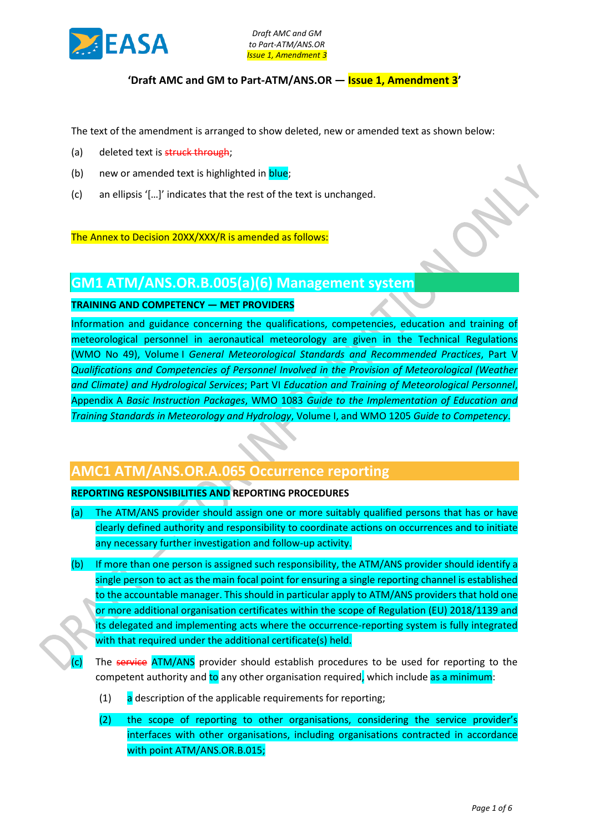

## **'Draft AMC and GM to Part-ATM/ANS.OR — Issue 1, Amendment 3'**

The text of the amendment is arranged to show deleted, new or amended text as shown below:

- (a) deleted text is struck through;
- (b) new or amended text is highlighted in **blue**;
- (c) an ellipsis '[…]' indicates that the rest of the text is unchanged.

The Annex to Decision 20XX/XXX/R is amended as follows:

# **GM1 ATM/ANS.OR.B.005(a)(6) Management system**

#### **TRAINING AND COMPETENCY — MET PROVIDERS**

Information and guidance concerning the qualifications, competencies, education and training of meteorological personnel in aeronautical meteorology are given in the Technical Regulations (WMO No 49), Volume I *General Meteorological Standards and Recommended Practices*, Part V *Qualifications and Competencies of Personnel Involved in the Provision of Meteorological (Weather and Climate) and Hydrological Services*; Part VI *Education and Training of Meteorological Personnel*, Appendix A *Basic Instruction Packages*, WMO 1083 *Guide to the Implementation of Education and Training Standards in Meteorology and Hydrology*, Volume I, and WMO 1205 *Guide to Competency*.

# **AMC1 ATM/ANS.OR.A.065 Occurrence reporting**

## **REPORTING RESPONSIBILITIES AND REPORTING PROCEDURES**

- (a) The ATM/ANS provider should assign one or more suitably qualified persons that has or have clearly defined authority and responsibility to coordinate actions on occurrences and to initiate any necessary further investigation and follow-up activity.
- (b) If more than one person is assigned such responsibility, the ATM/ANS provider should identify a single person to act as the main focal point for ensuring a single reporting channel is established to the accountable manager. This should in particular apply to ATM/ANS providers that hold one or more additional organisation certificates within the scope of Regulation (EU) 2018/1139 and its delegated and implementing acts where the occurrence-reporting system is fully integrated with that required under the additional certificate(s) held.
- (c) The service ATM/ANS provider should establish procedures to be used for reporting to the competent authority and to any other organisation required, which include as a minimum:
	- $\begin{bmatrix} 1 \end{bmatrix}$  a description of the applicable requirements for reporting;
	- (2) the scope of reporting to other organisations, considering the service provider's interfaces with other organisations, including organisations contracted in accordance with point ATM/ANS.OR.B.015;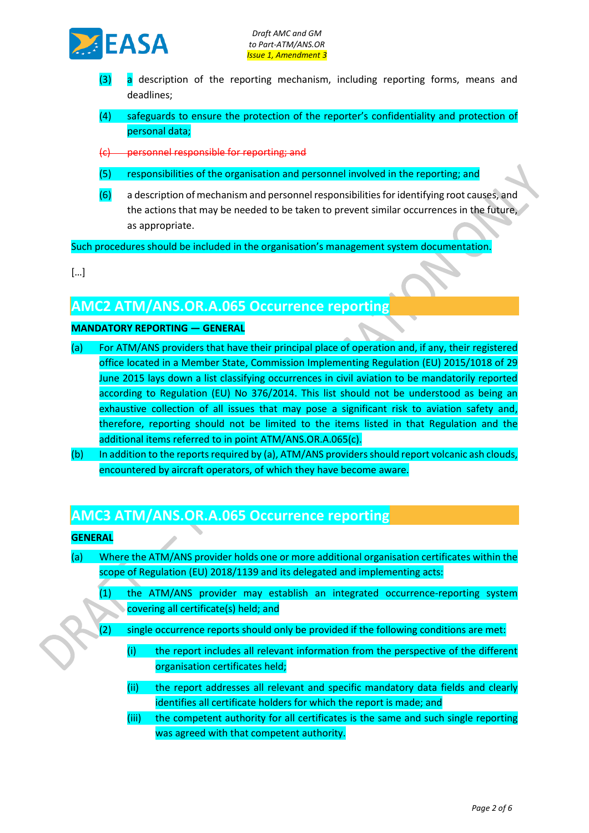

- (3) a description of the reporting mechanism, including reporting forms, means and deadlines;
- (4) safeguards to ensure the protection of the reporter's confidentiality and protection of personal data;

(c) personnel responsible for reporting; and

- (5) responsibilities of the organisation and personnel involved in the reporting; and
- (6) a description of mechanism and personnel responsibilities for identifying root causes, and the actions that may be needed to be taken to prevent similar occurrences in the future, as appropriate.

Such procedures should be included in the organisation's management system documentation.

[…]

# **AMC2 ATM/ANS.OR.A.065 Occurrence reporting**

## **MANDATORY REPORTING — GENERAL**

- (a) For ATM/ANS providers that have their principal place of operation and, if any, their registered office located in a Member State, Commission Implementing Regulation (EU) 2015/1018 of 29 June 2015 lays down a list classifying occurrences in civil aviation to be mandatorily reported according to Regulation (EU) No 376/2014. This list should not be understood as being an exhaustive collection of all issues that may pose a significant risk to aviation safety and, therefore, reporting should not be limited to the items listed in that Regulation and the additional items referred to in point ATM/ANS.OR.A.065(c).
- (b) In addition to the reports required by (a), ATM/ANS providers should report volcanic ash clouds, encountered by aircraft operators, of which they have become aware.

# **AMC3 ATM/ANS.OR.A.065 Occurrence reporting**

## **GENERAL**

- (a) Where the ATM/ANS provider holds one or more additional organisation certificates within the scope of Regulation (EU) 2018/1139 and its delegated and implementing acts:
	- (1) the ATM/ANS provider may establish an integrated occurrence-reporting system covering all certificate(s) held; and
	- (2) single occurrence reports should only be provided if the following conditions are met:
		- (i) the report includes all relevant information from the perspective of the different organisation certificates held;
		- (ii) the report addresses all relevant and specific mandatory data fields and clearly identifies all certificate holders for which the report is made; and
		- (iii) the competent authority for all certificates is the same and such single reporting was agreed with that competent authority.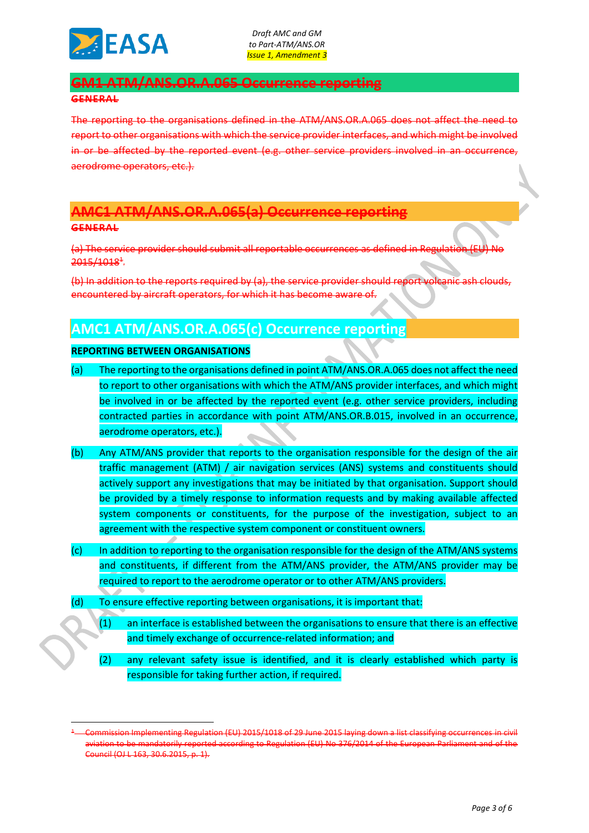

# **GM1 ATM/ANS.OR.A.065 Occurrence reporting**

#### **GENERAL**

The reporting to the organisations defined in the ATM/ANS.OR.A.065 does not affect the need to report to other organisations with which the service provider interfaces, and which might be involved in or be affected by the reported event (e.g. other service providers involved in an occurrence, aerodrome operators, etc.).

# **AMC1 ATM/ANS.OR.A.065(a) Occurrence reporting**

#### **GENERAL**

(a) The service provider should submit all reportable occurrences as defined in Regulation (EU) No 2015/1018<sup>+</sup>.

(b) In addition to the reports required by (a), the service provider should report volcanic ash clouds, encountered by aircraft operators, for which it has become aware of.

# **AMC1 ATM/ANS.OR.A.065(c) Occurrence reporting**

## **REPORTING BETWEEN ORGANISATIONS**

- (a) The reporting to the organisations defined in point ATM/ANS.OR.A.065 does not affect the need to report to other organisations with which the ATM/ANS provider interfaces, and which might be involved in or be affected by the reported event (e.g. other service providers, including contracted parties in accordance with point ATM/ANS.OR.B.015, involved in an occurrence, aerodrome operators, etc.).
- (b) Any ATM/ANS provider that reports to the organisation responsible for the design of the air traffic management (ATM) / air navigation services (ANS) systems and constituents should actively support any investigations that may be initiated by that organisation. Support should be provided by a timely response to information requests and by making available affected system components or constituents, for the purpose of the investigation, subject to an agreement with the respective system component or constituent owners.
- (c) In addition to reporting to the organisation responsible for the design of the ATM/ANS systems and constituents, if different from the ATM/ANS provider, the ATM/ANS provider may be required to report to the aerodrome operator or to other ATM/ANS providers.
- (d) To ensure effective reporting between organisations, it is important that:
	- $(1)$  an interface is established between the organisations to ensure that there is an effective and timely exchange of occurrence-related information; and
	- (2) any relevant safety issue is identified, and it is clearly established which party is responsible for taking further action, if required.

<sup>1</sup> Commission Implementing Regulation (EU) 2015/1018 of 29 June 2015 laying down a list classifying occurrences in civil aviation to be mandatorily reported according to Regulation (EU) No 376/2014 of the European Parliament and of the Council (OJ L 163, 30.6.2015, p. 1).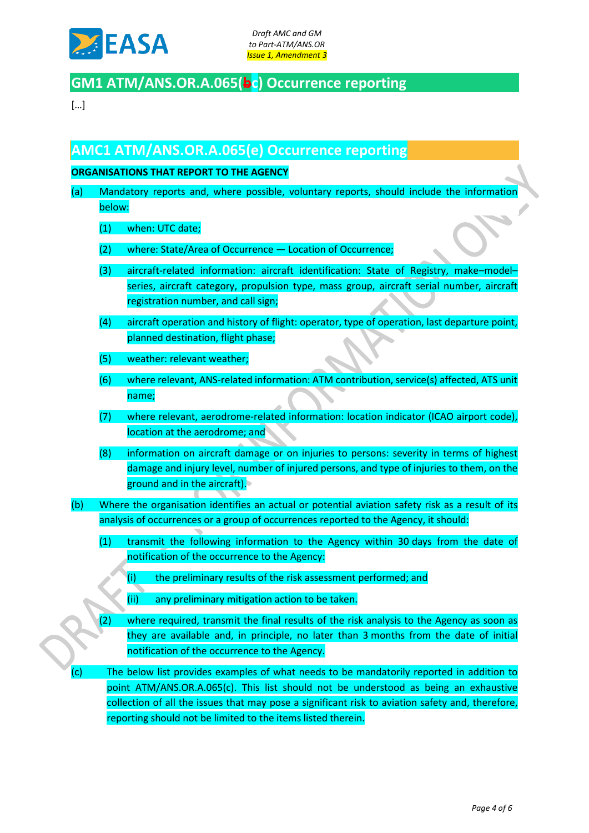

# **GM1 ATM/ANS.OR.A.065(bc) Occurrence reporting**

[…]

# **AMC1 ATM/ANS.OR.A.065(e) Occurrence reporting**

## **ORGANISATIONS THAT REPORT TO THE AGENCY**

- (a) Mandatory reports and, where possible, voluntary reports, should include the information below:
	- (1) when: UTC date;
	- (2) where: State/Area of Occurrence Location of Occurrence;
	- (3) aircraft-related information: aircraft identification: State of Registry, make–model– series, aircraft category, propulsion type, mass group, aircraft serial number, aircraft registration number, and call sign;
	- (4) aircraft operation and history of flight: operator, type of operation, last departure point, planned destination, flight phase;
	- (5) weather: relevant weather;
	- (6) where relevant, ANS-related information: ATM contribution, service(s) affected, ATS unit name;
	- (7) where relevant, aerodrome-related information: location indicator (ICAO airport code), location at the aerodrome; and
	- (8) information on aircraft damage or on injuries to persons: severity in terms of highest damage and injury level, number of injured persons, and type of injuries to them, on the ground and in the aircraft).
- (b) Where the organisation identifies an actual or potential aviation safety risk as a result of its analysis of occurrences or a group of occurrences reported to the Agency, it should:
	- (1) transmit the following information to the Agency within 30 days from the date of notification of the occurrence to the Agency:
		- (i) the preliminary results of the risk assessment performed; and
		- (ii) any preliminary mitigation action to be taken.
	- (2) where required, transmit the final results of the risk analysis to the Agency as soon as they are available and, in principle, no later than 3 months from the date of initial notification of the occurrence to the Agency.
- (c) The below list provides examples of what needs to be mandatorily reported in addition to point ATM/ANS.OR.A.065(c). This list should not be understood as being an exhaustive collection of all the issues that may pose a significant risk to aviation safety and, therefore, reporting should not be limited to the items listed therein.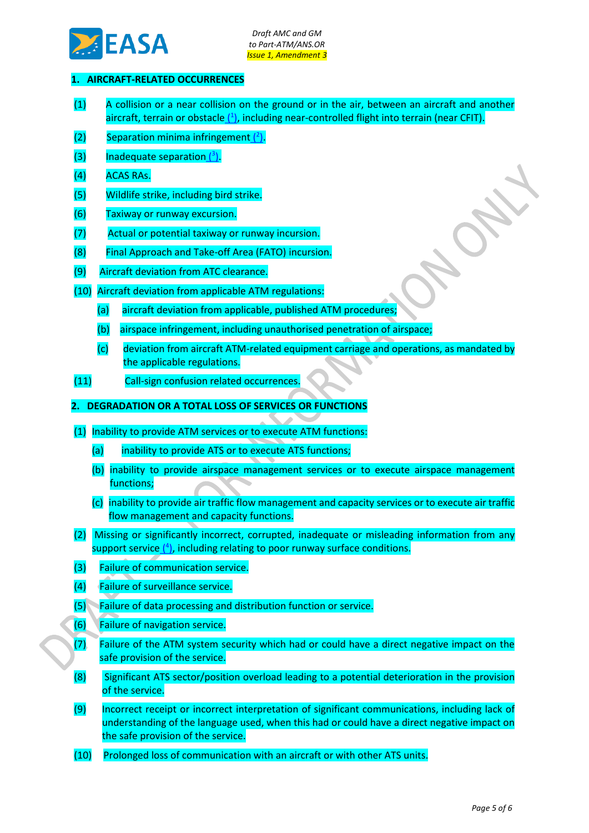

## **1. AIRCRAFT-RELATED OCCURRENCES**

- (1) A collision or a near collision on the ground or in the air, between an aircraft and another aircraft, terrain or obstacle (1[\),](http://eur-lex.europa.eu/legal-content/EN/TXT/HTML/?uri=CELEX:32015R1018&from=EN#ntr1-L_2015163EN.01000901-E0001) including near-controlled flight into terrain (near CFIT).
- $(2)$  Separation minima infringement  $(2)$ .
- $(3)$  Inadequate separation  $(3)$ .
- (4) ACAS RAs.
- (5) Wildlife strike, including bird strike.
- (6) Taxiway or runway excursion.
- (7) Actual or potential taxiway or runway incursion.
- (8) Final Approach and Take-off Area (FATO) incursion.
- (9) Aircraft deviation from ATC clearance.
- (10) Aircraft deviation from applicable ATM regulations:
	- (a) aircraft deviation from applicable, published ATM procedures;
	- (b) airspace infringement, including unauthorised penetration of airspace;
	- (c) deviation from aircraft ATM-related equipment carriage and operations, as mandated by the applicable regulations.
- (11) Call-sign confusion related occurrences.
- **2. DEGRADATION OR A TOTAL LOSS OF SERVICES OR FUNCTIONS**
- (1) Inability to provide ATM services or to execute ATM functions:
	- (a) inability to provide ATS or to execute ATS functions;
	- (b) inability to provide airspace management services or to execute airspace management functions;
	- (c) inability to provide air traffic flow management and capacity services or to execute air traffic flow management and capacity functions.
- (2) Missing or significantly incorrect, corrupted, inadequate or misleading information from any support service (<sup>4</sup>[\),](http://eur-lex.europa.eu/legal-content/EN/TXT/HTML/?uri=CELEX:32015R1018&from=EN#ntr4-L_2015163EN.01000901-E0004) including relating to poor runway surface conditions.
- (3) Failure of communication service.
- (4) Failure of surveillance service.
- (5) Failure of data processing and distribution function or service.
- (6) Failure of navigation service.
- (7) Failure of the ATM system security which had or could have a direct negative impact on the safe provision of the service.
- (8) Significant ATS sector/position overload leading to a potential deterioration in the provision of the service.
- (9) Incorrect receipt or incorrect interpretation of significant communications, including lack of understanding of the language used, when this had or could have a direct negative impact on the safe provision of the service.
- (10) Prolonged loss of communication with an aircraft or with other ATS units.